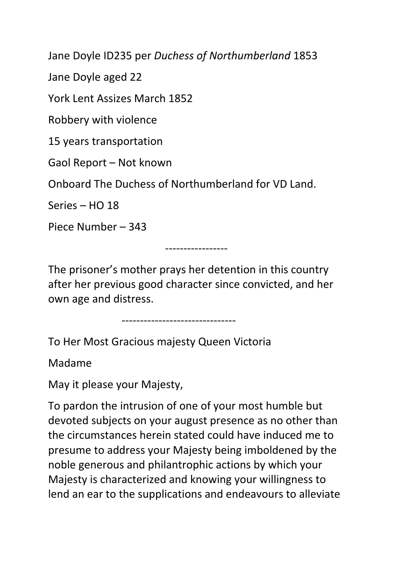Jane Doyle ID235 per *Duchess of Northumberland* 1853

Jane Doyle aged 22

York Lent Assizes March 1852

Robbery with violence

15 years transportation

Gaol Report – Not known

Onboard The Duchess of Northumberland for VD Land.

Series – HO 18

Piece Number – 343

-----------------

The prisoner's mother prays her detention in this country after her previous good character since convicted, and her own age and distress.

-------------------------------

To Her Most Gracious majesty Queen Victoria

Madame

May it please your Majesty,

To pardon the intrusion of one of your most humble but devoted subjects on your august presence as no other than the circumstances herein stated could have induced me to presume to address your Majesty being imboldened by the noble generous and philantrophic actions by which your Majesty is characterized and knowing your willingness to lend an ear to the supplications and endeavours to alleviate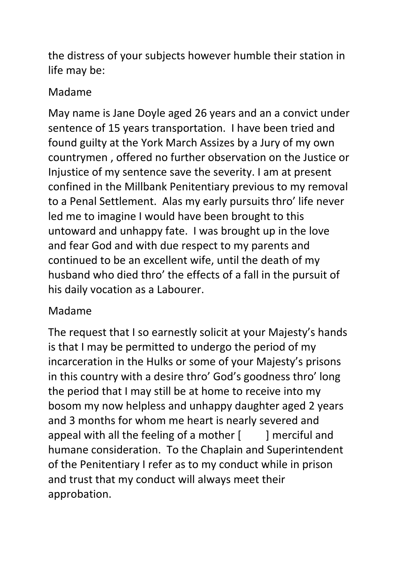the distress of your subjects however humble their station in life may be:

## Madame

May name is Jane Doyle aged 26 years and an a convict under sentence of 15 years transportation. I have been tried and found guilty at the York March Assizes by a Jury of my own countrymen , offered no further observation on the Justice or Injustice of my sentence save the severity. I am at present confined in the Millbank Penitentiary previous to my removal to a Penal Settlement. Alas my early pursuits thro' life never led me to imagine I would have been brought to this untoward and unhappy fate. I was brought up in the love and fear God and with due respect to my parents and continued to be an excellent wife, until the death of my husband who died thro' the effects of a fall in the pursuit of his daily vocation as a Labourer.

## Madame

The request that I so earnestly solicit at your Majesty's hands is that I may be permitted to undergo the period of my incarceration in the Hulks or some of your Majesty's prisons in this country with a desire thro' God's goodness thro' long the period that I may still be at home to receive into my bosom my now helpless and unhappy daughter aged 2 years and 3 months for whom me heart is nearly severed and appeal with all the feeling of a mother  $\lceil \cdot \cdot \cdot \rceil$  merciful and humane consideration. To the Chaplain and Superintendent of the Penitentiary I refer as to my conduct while in prison and trust that my conduct will always meet their approbation.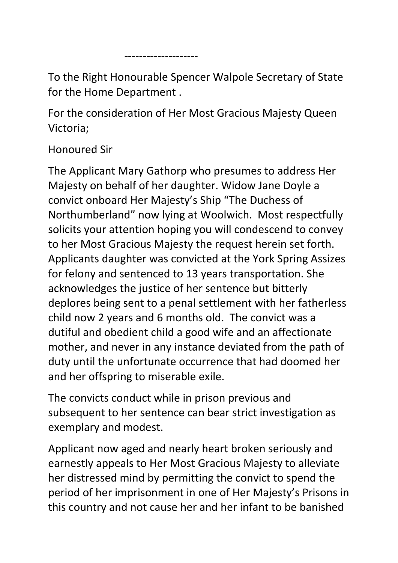--------------------

To the Right Honourable Spencer Walpole Secretary of State for the Home Department .

For the consideration of Her Most Gracious Majesty Queen Victoria;

## Honoured Sir

The Applicant Mary Gathorp who presumes to address Her Majesty on behalf of her daughter. Widow Jane Doyle a convict onboard Her Majesty's Ship "The Duchess of Northumberland" now lying at Woolwich. Most respectfully solicits your attention hoping you will condescend to convey to her Most Gracious Majesty the request herein set forth. Applicants daughter was convicted at the York Spring Assizes for felony and sentenced to 13 years transportation. She acknowledges the justice of her sentence but bitterly deplores being sent to a penal settlement with her fatherless child now 2 years and 6 months old. The convict was a dutiful and obedient child a good wife and an affectionate mother, and never in any instance deviated from the path of duty until the unfortunate occurrence that had doomed her and her offspring to miserable exile.

The convicts conduct while in prison previous and subsequent to her sentence can bear strict investigation as exemplary and modest.

Applicant now aged and nearly heart broken seriously and earnestly appeals to Her Most Gracious Majesty to alleviate her distressed mind by permitting the convict to spend the period of her imprisonment in one of Her Majesty's Prisons in this country and not cause her and her infant to be banished